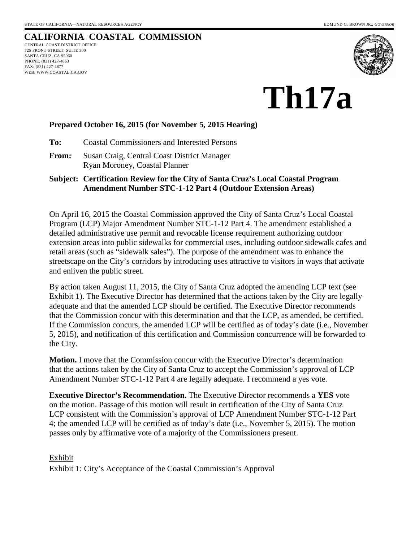# **CALIFORNIA COASTAL COMMISSION**

CENTRAL COAST DISTRICT OFFICE 725 FRONT STREET, SUITE 300 SANTA CRUZ, CA 95060 PHONE: (831) 427-4863 FAX: (831) 427-4877 WEB: WWW.COASTAL.CA.GOV



**Th17a** 

### **Prepared October 16, 2015 (for November 5, 2015 Hearing)**

**To:** Coastal Commissioners and Interested Persons

**From:** Susan Craig, Central Coast District Manager Ryan Moroney, Coastal Planner

### **Subject: Certification Review for the City of Santa Cruz's Local Coastal Program Amendment Number STC-1-12 Part 4 (Outdoor Extension Areas)**

On April 16, 2015 the Coastal Commission approved the City of Santa Cruz's Local Coastal Program (LCP) Major Amendment Number STC-1-12 Part 4. The amendment established a detailed administrative use permit and revocable license requirement authorizing outdoor extension areas into public sidewalks for commercial uses, including outdoor sidewalk cafes and retail areas (such as "sidewalk sales"). The purpose of the amendment was to enhance the streetscape on the City's corridors by introducing uses attractive to visitors in ways that activate and enliven the public street.

By action taken August 11, 2015, the City of Santa Cruz adopted the amending LCP text (see Exhibit 1). The Executive Director has determined that the actions taken by the City are legally adequate and that the amended LCP should be certified. The Executive Director recommends that the Commission concur with this determination and that the LCP, as amended, be certified. If the Commission concurs, the amended LCP will be certified as of today's date (i.e., November 5, 2015), and notification of this certification and Commission concurrence will be forwarded to the City.

**Motion.** I move that the Commission concur with the Executive Director's determination that the actions taken by the City of Santa Cruz to accept the Commission's approval of LCP Amendment Number STC-1-12 Part 4 are legally adequate. I recommend a yes vote.

**Executive Director's Recommendation.** The Executive Director recommends a **YES** vote on the motion. Passage of this motion will result in certification of the City of Santa Cruz LCP consistent with the Commission's approval of LCP Amendment Number STC-1-12 Part 4; the amended LCP will be certified as of today's date (i.e., November 5, 2015). The motion passes only by affirmative vote of a majority of the Commissioners present.

## Exhibit Exhibit 1: City's Acceptance of the Coastal Commission's Approval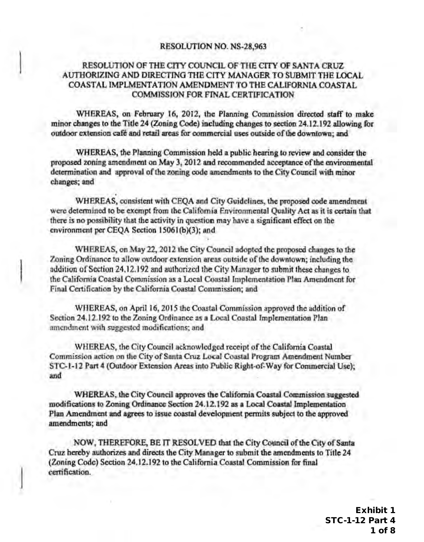### RESOLUTION NO. NS·28,963

## RESOLUTION OF THE CITY COUNCIL OF THE CITY OF SANTA CRUZ AUTHORIZING AND DIRECTING THE CITY MANAGER TO SUBMIT THE LOCAL COASTAL IMPLMENTATION AMENDMENT TO THE CALIFORNIA COASTAL COMM1SSION FOR FINAL CERTIFICATION

WHEREAS, on February 16, 2012, the Planning Commission directed staff to make minor changes to the Title 24 (Zoning Code) including changes to section 24. I 2.192 allowing for outdoor extension cafe and retail areas for commercial uses outside of the downtown; and

WHEREAS, the Planning Commission held a public hearing to review and consider the proposed zoning amendment on May 3, 2012 and recommended acceptance of the environmental determination and approval of the zoning code amendments to the City Council with minor changes; and

WHEREAS, consistent with CEQA and City Guidelines, the proposed code amendment were determined to be exempt from the California Environmental Quality Aetas it is certain that there is no possibility that the activity in question may have a significant effect on the environment per CEQA Section 15061(b)(3); and

WHEREAS, on May 22, 2012 the City Council adopted the proposed changes to the Zoning Ordinance to allow outdoor extension areas outside of the downtown; including the addition of Section 24.12.192 and authorized the City Manager to submit these changes to the California Coastal Commission as a Local Coastal Implementation Plan Amendment for Final Certification by the California Coastal Commission; and

WHEREAS, on April 16, 2015 the Coastal Commission approved the addition of Section 24.12.192 to the Zoning Ordinance as a Local Coastal Implementation Plan amendment with suggested modifications; and

WHEREAS, the City Council acknowledged receipt of the California Coastal Commission action on the City of Santa Cruz Local Coastal Program Amendment Number STC·l·12 Part 4 (Outdoor Extension Areas into Public Right-of-Way for Commercial Usc); and

WHEREAS, the City Council approves the California Coastal Commission suggested modifications to Zoning Ordinance Section 24.12.192 as a Local Coastal Implementation Plan Amendment and agrees to issue coastal development permits subject to the approved amendments; and

NOW, THEREFORE, BE IT RESOLVED that the City Council of the City of Santa Cruz hereby authorizes and directs the City Manager to submit the amendments to Title 24 (Zoning Code) Section 24.12.192 to the California Coastal Commission for final certification.

. I

Exhibit 1 STC-1-12 Part 4 1 of 8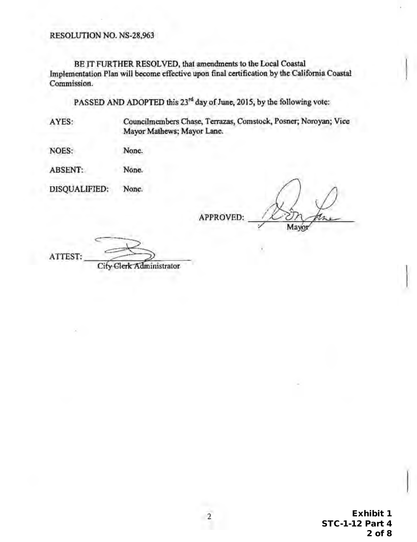RESOLUTION NO. NS-28,963

BE IT FURTHER RESOLVED, that amendments to the Local Coastal Implementation Plan will become effective upon final certification by the California Coastal Commission.

PASSED AND ADOPTED this 23<sup>rd</sup> day of June, 2015, by the following vote:

A YES: Councilmcmbers Chase, Terrazas, Comstock, Posner; Noroyan; Vice Mayor Mathews; Mayor Lane.

NOES: None.

ABSENT: None.

DISQUALIFIED: None.

APPROVED:

Mayor

ATTEST:

City Clerk Administrator

Exhibit 1 STC-1-12 Part 4 2 of 8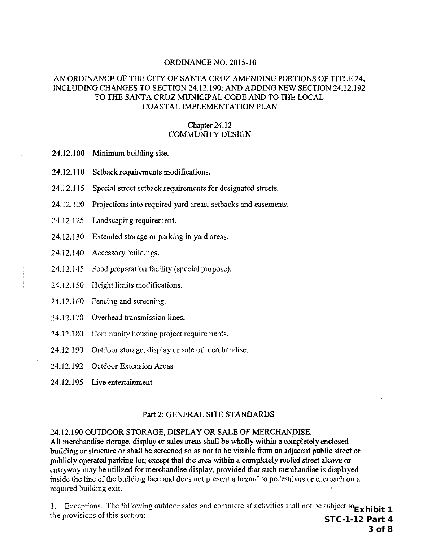### AN ORDINANCE OF THE CITY OF SANTA CRUZ AMENDING PORTIONS OF TITLE 24, INCLUDING CHANGES TO SECTION 24.12.190; AND ADDING NEW SECTION 24.12.192 TO THE SANTA CRUZ MUNICIPAL CODE AND TO THE LOCAL COASTAL IMPLEMENTATION PLAN

### Chapter 24.12 COMMUNITY DESIGN

- 24.12.100 Minimum building site.
- 24.12.110 Setback requirements modifications.
- 24.12.115 Special street setback requirements for designated streets.
- 24.12.120 Projections into required yard areas, setbacks and easements.
- 24.12.125 Landscaping requirement.
- 24.12.130 Extended storage or parking in yard areas.
- 24.12.140 Accessory buildings.
- 24.12.145 Food preparation facility (special purpose).
- 24.12.150 Height limits modifications.
- 24.12.160 Fencing and screening.
- 24.12.170 Overhead transmission lines.
- 24.12.180 Community housing project requirements.
- 24.12.190 Outdoor storage, display or sale of merchandise.
- 24.12.192 Outdoor Extension Areas
- 24.12.195 Live entertainment

#### Part 2: GENERAL SITE STANDARDS

#### 24.12.190 OUTDOOR STORAGE, DISPLAY OR SALE OF MERCHANDISE.

All merchandise storage, display or sales areas shall be wholly within a completely enclosed building or structure or shall be screened so as not to be visible from an adjacent public street or publicly operated parking lot; except that the area within a completely roofed street alcove or entryway may be utilized for merchandise display, provided that such merchandise is displayed inside the line of the building face and does not present a hazard to pedestrians or encroach on a required building exit.

1. Exceptions. The following outdoor sales and commercial activities shall not be subject to **Exhibit 1** the provisions of this section: STC-1-12 Part 4

3 of 8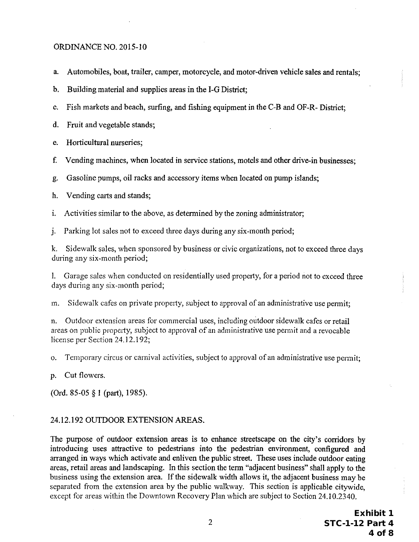- a. Automobiles, boat, trailer, camper, motorcycle, and motor-driven vehicle sales and rentals;
- b. Building material and supplies areas in the I-G District;
- c. Fish markets and beach, surfing, and fishing equipment in the C-B and OF-R- District;
- d. Fruit and vegetable stands;
- e. Horticultural nurseries;
- f. Vending machines, when located in service stations, motels and other drive-in businesses;
- g. Gasoline pumps, oil racks and accessory items when located on pump islands;
- h. Vending carts and stands;
- i. Activities similar to the above, as determined by the zoning administrator;
- j. Parking lot sales not to exceed three days during any six-month period;

k. Sidewalk sales, when sponsored by business or civic organizations, not to exceed three days during any six-month period;

1. Garage sales when conducted on residentially used property, for a period not to exceed three days during any six-month period;

m. Sidewalk cafes on private property, subject to approval of an administrative use permit;

n. Outdoor extension areas for commercial uses, including outdoor sidewalk cafes or retail areas on public property, subject to approval of an administrative use permit and a revocable license per Section 24.12.192;

o. Temporary circus or carnival activities, subject to approval of an administrative use penni!;

p. Cut flowers.

(Ord. 85-05 § I (part), 1985).

### 24.12.192 OUTDOOR EXTENSION AREAS.

The purpose of outdoor extension areas is to enhance streetscape on the city's corridors by introducing uses attractive to pedestrians into the pedestrian environment, configured and arranged in ways which activate and enliven the public street. These uses include outdoor eating areas, retail areas and landscaping. In this section the term "adjacent business" shall apply to the business using the extension area. If the siqewalk width allows it, the adjacent business may be separated from the extension area by the public walkway. This section is applicable citywide, except for areas within the Downtown Recovery Plan which are subject to Section 24.10.2340.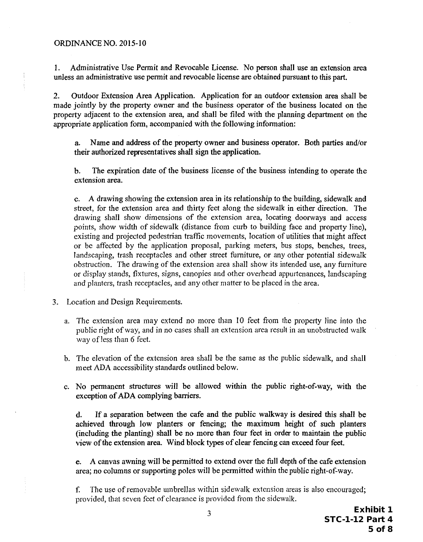1. Administrative Use Pennit and Revocable License. No person shall use an extension area unless an administrative use permit and revocable license are obtained pursuant to this part.

2. Outdoor Extension Area Application. Application for an outdoor extension area shall be made jointly by the property owner and the business operator of the business located on the property adjacent to the extension area, and shall be filed with the planning department on the appropriate application form, accompanied with the following information:

a. Name and address of the property owner and business operator. Both parties and/or their authorized representatives shall sign the application.

b. The expiration date of the business license of the business intending to operate the extension area.

c. A drawing showing the extension area in its relationship to the building, sidewalk and street, for the extension area and thirty feet along the sidewalk in either direction. The drawing shall show dimensions of the extension area, locating doorways and access points, show width of sidewalk (distance from curb to building face and property line), existing and projected pedestrian traffic movements, location of utilities that might affect or be affected by the application proposal, parking meters, bus stops, benches, trees, landscaping, trash receptacles and other street fumiture, or any other potential sidewalk obstruction. The drawing of the extension area shall show its intended use, any fumiture or display stands, fixtures, signs, canopies and other overhead appwienances, landscaping and planters, trash receptacles, and any other matter to be placed in the area.

- 3. Location and Design Requirements.
	- a. The extension area may extend no more than 10 feet from the property line into the public right of way, and in no cases shall an extension area result in an unobstructed walk way ofless than 6 feet.
	- b. The elevation of the extension area shall be the same as the public sidewalk, and shall meet ADA accessibility standards outlined below.
	- c. No permanent structures will be allowed within the public right-of-way, with the exception of ADA complying barriers.

d. If a separation between the cafe and the public walkway is desired this shall be achieved through low planters or fencing; the maximum height of such planters (including the planting) shall be no more than four feet in order to maintain the public view of the extension area. Wind block types of clear fencing can exceed four feet.

e. A canvas awning will be permitted to extend over the full depth of the cafe extension area; no columns or supporting poles will be permitted within the public right-of-way.

f. The use of removable umbrellas within sidewalk extension areas is also encouraged; provided, that seven feet of clearance is provided from the sidewalk.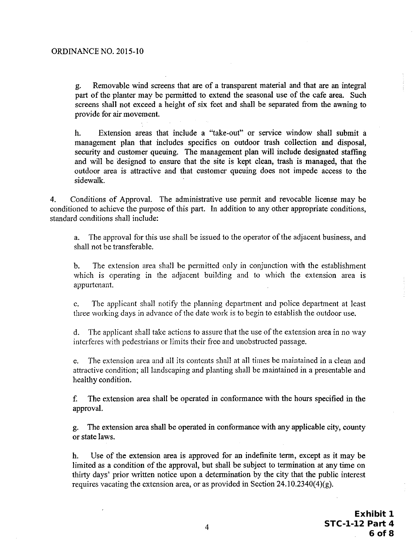g. Removable wind screens that are of a transparent material and that are an integral part of the planter may be permitted to extend the seasonal use of the cafe area. Such screens shall not exceed a height of six feet and shall be separated from the awning to provide for air movement.

h. Extension areas that include a "take-out" or service window shall submit a management plan that includes specifics on outdoor trash collection and disposal, security and customer queuing. The management plan will include designated staffing and will be 'designed to ensure that the site is kept clean, trash is managed, that the outdoor area is attractive and that customer queuing does not impede access to the sidewalk.

4. Conditions of Approval. The administrative use pennit and revocable license may be conditioned to achieve the purpose of this part. In addition to any other appropriate conditions, standard conditions shall include:

a. The approval for this use shall be issued to the operator of the adjacent business, and shall not be transferable.

b. The extension area shall be pennitted only in conjunction with the establishment which is operating in the adjacent building and to which the extension area is appurtenant.

c. The applicant shall notify the planning department and police department at least three working days in advance of the date work is to begin to establish the outdoor use.

d. The applicant shall take actions to assure that the use of the extension area in no way interferes with pedestrians or limits their free and unobstructed passage.

e. The extension area and all its contents shall at all times be maintained in a clean and attractive condition; all landscaping and planting shall be maintained in a presentable and healthy condition.

f. The extension area shall be operated in conformance with the hours specified in the approval.

g. The extension area shall be operated in conformance with any applicable city, county or state Jaws.

h. Use of the extension area is approved for an indefinite term, except as it may be limited as a condition of the approval, but shall be subject to termination at any time on thirty days' prior written notice upon a determination by the city that the public interest requires vacating the extension area, or as provided in Section  $24.10.2340(4)(g)$ .

> Exhibit 1 STC-1-12 Part 4 6 of 8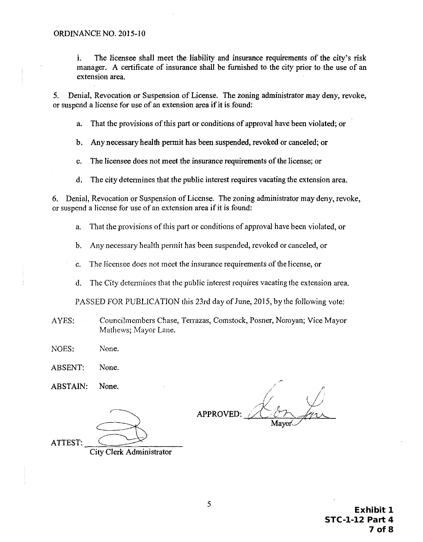i. The licensee shall meet the liability and insurance requirements of the city's risk manager. A certificate of insurance shall be furnished to the city prior to the use of an extension area.

5. Denial, Revocation or Suspension of License. The zoning administrator may deny, revoke, or suspend a license for use of an extension area if it is found:

a. That the provisions of this part or conditions of approval have been violated; or

b. Any necessary health permit has been suspended, revoked or canceled; or

c. The licensee does not meet the insurance requirements of the license; or

d. The city determines that the public interest requires vacating the extension area.

6. Denial, Revocation or Suspension of License. The zoning administrator may deny, revoke, or suspend a license for use of an extension area if it is found:

- a. That the provisions of this part or conditions of approval have been violated, or
- b. Any necessary health permit has been suspended, revoked or canceled, or

c. The licensee does not meet the insurance requirements of the license, or

d. The City determines that the public interest requires vacating the extension area.

PASSED FOR PUBLICATION this 23rd day of June, 2015, by the following vote:

- AYES: Councilmembers Chase, Terrazas, Comstock, Posner, Noroyan; Vice Mayor Mathews; Mayor Lane.
- NOES: None.

ABSENT: None.

ABSTAIN: None.

APPROVED:

ATTEST:

City Clerk Administrator

Exhibit 1 STC-1-12 Part 4 7 of 8